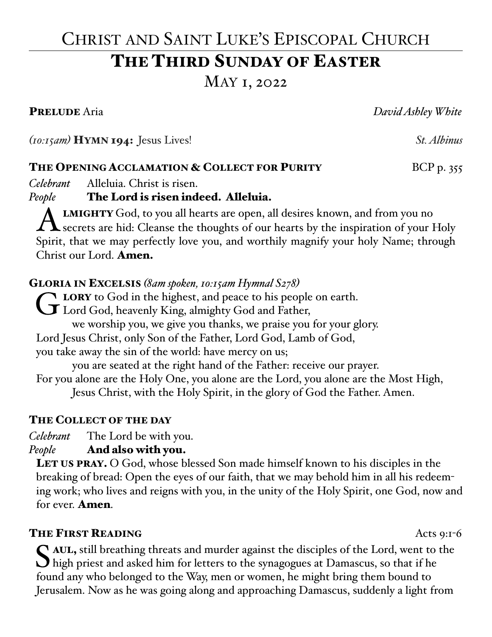# CHRIST AND SAINT LUKE'S EPISCOPAL CHURCH

# THE THIRD SUNDAY OF EASTER

MAY 1, 2022

PRELUDE Aria *David Ashley White*

*(10:15am)* HYMN 194: Jesus Lives! *St. Albinus*

### THE OPENING ACCLAMATION & COLLECT FOR PURITY BCP p. 355

*Celebrant* Alleluia. Christ is risen.

### *People* The Lord is risen indeed. Alleluia.

**ALMIGHTY** God, to you all hearts are open, all desires known, and from you no<br>secrets are hid: Cleanse the thoughts of our hearts by the inspiration of your Holy Spirit, that we may perfectly love you, and worthily magnify your holy Name; through Christ our Lord. Amen.

#### GLORIA IN EXCELSIS *(8am spoken, 10:15am Hymnal S278)*

GLORY to God in the highest, and peace to his people on earth.<br>
Lord God, heavenly King, almighty God and Father, we worship you, we give you thanks, we praise you for your glory. Lord Jesus Christ, only Son of the Father, Lord God, Lamb of God, you take away the sin of the world: have mercy on us; you are seated at the right hand of the Father: receive our prayer. For you alone are the Holy One, you alone are the Lord, you alone are the Most High, Jesus Christ, with the Holy Spirit, in the glory of God the Father. Amen.

### THE COLLECT OF THE DAY

*Celebrant* The Lord be with you.

### *People* And also with you.

LET US PRAY. O God, whose blessed Son made himself known to his disciples in the breaking of bread: Open the eyes of our faith, that we may behold him in all his redeeming work; who lives and reigns with you, in the unity of the Holy Spirit, one God, now and for ever. Amen.

### THE FIRST READING Acts 9:1-6

S AUL, still breathing threats and murder against the disciples of the Lord, went to the high priest and asked him for letters to the synagogues at Damascus, so that if he found any who belonged to the Way, men or women, he might bring them bound to Jerusalem. Now as he was going along and approaching Damascus, suddenly a light from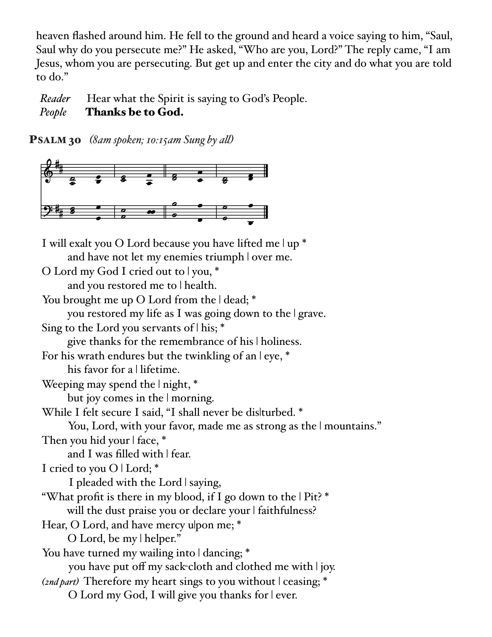heaven flashed around him. He fell to the ground and heard a voice saying to him, "Saul, Saul why do you persecute me?" He asked, "Who are you, Lord?" The reply came, "I am Jesus, whom you are persecuting. But get up and enter the city and do what you are told to do."

*Reader* Hear what the Spirit is saying to God's People. *People* Thanks be to God.

PSALM 30 *(8am spoken; 10:15am Sung by all)*



I will exalt you O Lord because you have lifted me | up \* and have not let my enemies triumph | over me. O Lord my God I cried out to | you, \* and you restored me to | health. You brought me up O Lord from the  $\vert$  dead; \* you restored my life as I was going down to the | grave. Sing to the Lord you servants of  $\vert$  his;  $*$ give thanks for the remembrance of his | holiness. For his wrath endures but the twinkling of an  $|$  eye,  $*$ his favor for a  $\vert$  lifetime. Weeping may spend the  $|$  night,  $*$ but joy comes in the | morning. While I felt secure I said, "I shall never be dislturbed. \* You, Lord, with your favor, made me as strong as the | mountains." Then you hid your | face, \* and I was filled with | fear. I cried to you O | Lord; \* I pleaded with the Lord | saying, "What profit is there in my blood, if I go down to the  $|$  Pit?  $*$ will the dust praise you or declare your | faithfulness? Hear, O Lord, and have mercy ulpon me;  $*$ O Lord, be my | helper." You have turned my wailing into dancing; \* you have put off my sack-cloth and clothed me with | joy. *(2nd part)* Therefore my heart sings to you without | ceasing; \* O Lord my God, I will give you thanks for | ever.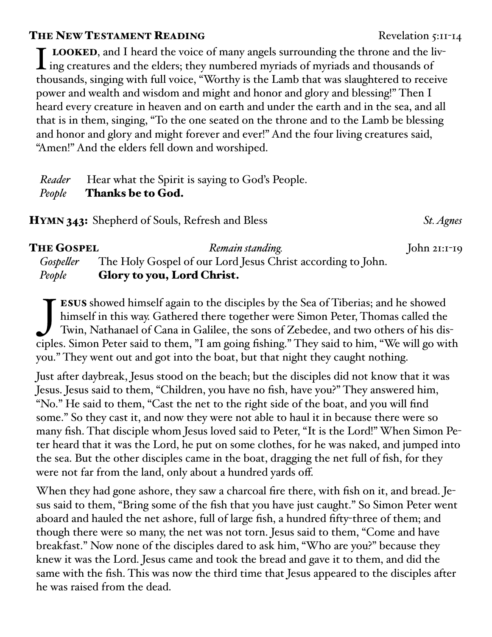#### THE NEW TESTAMENT READING Revelation 5:11-14

I LOOKED, and I heard the voice of many angels surrounding the throne and the liv-<br>ing creatures and the elders; they numbered myriads of myriads and thousands of thousands, singing with full voice, "Worthy is the Lamb that was slaughtered to receive power and wealth and wisdom and might and honor and glory and blessing!" Then I heard every creature in heaven and on earth and under the earth and in the sea, and all that is in them, singing, "To the one seated on the throne and to the Lamb be blessing and honor and glory and might forever and ever!" And the four living creatures said, "Amen!" And the elders fell down and worshiped.

*Reader* Hear what the Spirit is saying to God's People. *People* Thanks be to God.

HYMN 343: Shepherd of Souls, Refresh and Bless *St. Agnes*

**THE GOSPEL** *Remain standing.* John 21:1-19 Gospeller The Holy Gospel of our Lord Jesus Christ according to John. *People* Glory to you, Lord Christ.

J ESUS showed himself again to the disciples by the Sea of Tiberias; and he showed himself in this way. Gathered there together were Simon Peter, Thomas called the Twin, Nathanael of Cana in Galilee, the sons of Zebedee, and two others of his disciples. Simon Peter said to them, "I am going fishing." They said to him, "We will go with you." They went out and got into the boat, but that night they caught nothing.

Just after daybreak, Jesus stood on the beach; but the disciples did not know that it was Jesus. Jesus said to them, "Children, you have no fish, have you?" They answered him, "No." He said to them, "Cast the net to the right side of the boat, and you will find some." So they cast it, and now they were not able to haul it in because there were so many fish. That disciple whom Jesus loved said to Peter, "It is the Lord!" When Simon Peter heard that it was the Lord, he put on some clothes, for he was naked, and jumped into the sea. But the other disciples came in the boat, dragging the net full of fish, for they were not far from the land, only about a hundred yards off.

When they had gone ashore, they saw a charcoal fire there, with fish on it, and bread. Jesus said to them, "Bring some of the fish that you have just caught." So Simon Peter went aboard and hauled the net ashore, full of large fish, a hundred fifty-three of them; and though there were so many, the net was not torn. Jesus said to them, "Come and have breakfast." Now none of the disciples dared to ask him, "Who are you?" because they knew it was the Lord. Jesus came and took the bread and gave it to them, and did the same with the fish. This was now the third time that Jesus appeared to the disciples after he was raised from the dead.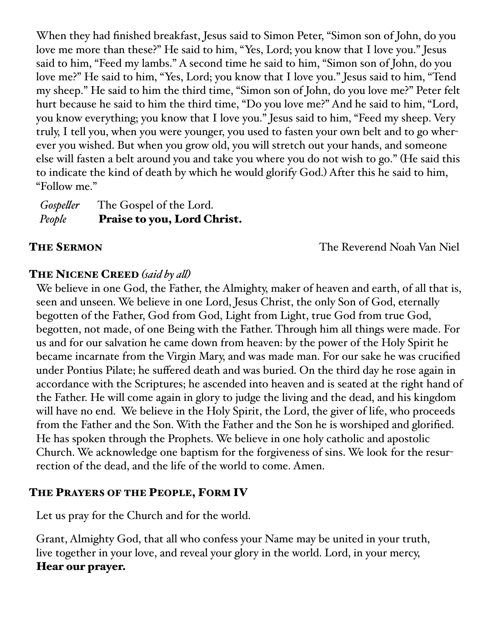When they had finished breakfast, Jesus said to Simon Peter, "Simon son of John, do you love me more than these?" He said to him, "Yes, Lord; you know that I love you." Jesus said to him, "Feed my lambs." A second time he said to him, "Simon son of John, do you love me?" He said to him, "Yes, Lord; you know that I love you." Jesus said to him, "Tend my sheep." He said to him the third time, "Simon son of John, do you love me?" Peter felt hurt because he said to him the third time, "Do you love me?" And he said to him, "Lord, you know everything; you know that I love you." Jesus said to him, "Feed my sheep. Very truly, I tell you, when you were younger, you used to fasten your own belt and to go wherever you wished. But when you grow old, you will stretch out your hands, and someone else will fasten a belt around you and take you where you do not wish to go." (He said this to indicate the kind of death by which he would glorify God.) After this he said to him, "Follow me."

| Gospeller | The Gospel of the Lord.     |
|-----------|-----------------------------|
| People    | Praise to you, Lord Christ. |

**THE SERMON** The Reverend Noah Van Niel

#### THE NICENE CREED *(said by all)*

We believe in one God, the Father, the Almighty, maker of heaven and earth, of all that is, seen and unseen. We believe in one Lord, Jesus Christ, the only Son of God, eternally begotten of the Father, God from God, Light from Light, true God from true God, begotten, not made, of one Being with the Father. Through him all things were made. For us and for our salvation he came down from heaven: by the power of the Holy Spirit he became incarnate from the Virgin Mary, and was made man. For our sake he was crucified under Pontius Pilate; he suffered death and was buried. On the third day he rose again in accordance with the Scriptures; he ascended into heaven and is seated at the right hand of the Father. He will come again in glory to judge the living and the dead, and his kingdom will have no end. We believe in the Holy Spirit, the Lord, the giver of life, who proceeds from the Father and the Son. With the Father and the Son he is worshiped and glorified. He has spoken through the Prophets. We believe in one holy catholic and apostolic Church. We acknowledge one baptism for the forgiveness of sins. We look for the resurrection of the dead, and the life of the world to come. Amen.

#### THE PRAYERS OF THE PEOPLE, FORM IV

Let us pray for the Church and for the world.

Grant, Almighty God, that all who confess your Name may be united in your truth, live together in your love, and reveal your glory in the world. Lord, in your mercy, Hear our prayer.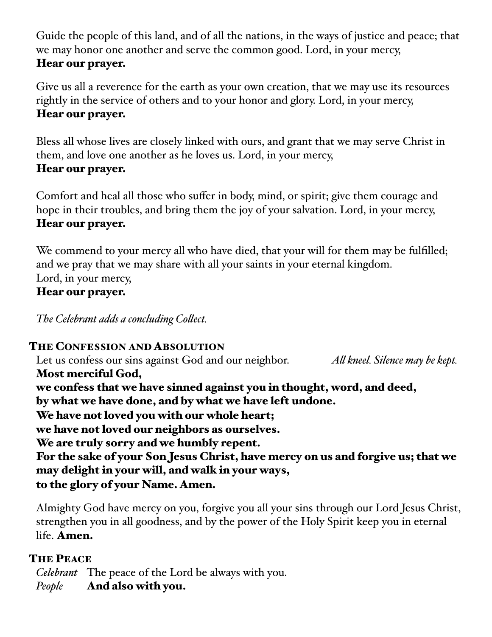Guide the people of this land, and of all the nations, in the ways of justice and peace; that we may honor one another and serve the common good. Lord, in your mercy,

#### Hear our prayer.

Give us all a reverence for the earth as your own creation, that we may use its resources rightly in the service of others and to your honor and glory. Lord, in your mercy, Hear our prayer.

Bless all whose lives are closely linked with ours, and grant that we may serve Christ in them, and love one another as he loves us. Lord, in your mercy, Hear our prayer.

Comfort and heal all those who suffer in body, mind, or spirit; give them courage and hope in their troubles, and bring them the joy of your salvation. Lord, in your mercy, Hear our prayer.

We commend to your mercy all who have died, that your will for them may be fulfilled; and we pray that we may share with all your saints in your eternal kingdom. Lord, in your mercy, Hear our prayer.

*The Celebrant adds a concluding Collect.*

#### THE CONFESSION AND ABSOLUTION

Let us confess our sins against God and our neighbor. *All kneel. Silence may be kept.* Most merciful God, we confess that we have sinned against you in thought, word, and deed, by what we have done, and by what we have left undone. We have not loved you with our whole heart; we have not loved our neighbors as ourselves. We are truly sorry and we humbly repent. For the sake of your Son Jesus Christ, have mercy on us and forgive us; that we may delight in your will, and walk in your ways, to the glory of your Name. Amen.

Almighty God have mercy on you, forgive you all your sins through our Lord Jesus Christ, strengthen you in all goodness, and by the power of the Holy Spirit keep you in eternal life. Amen.

#### THE PEACE

*Celebrant* The peace of the Lord be always with you. *People* And also with you.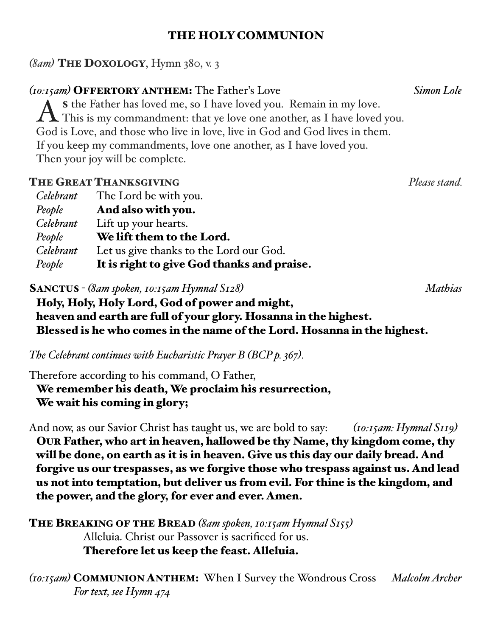#### THE HOLY COMMUNION

#### *(8am)* THE DOXOLOGY, Hymn 380, v. 3

# *(10:15am)* OFFERTORY ANTHEM: The Father's Love *Simon Lole* As the Father has loved me, so I have loved you. Remain in my love.<br>This is my commandment: that ye love one another, as I have loved you. God is Love, and those who live in love, live in God and God lives in them. If you keep my commandments, love one another, as I have loved you. Then your joy will be complete.

#### **THE GREAT THANKSGIVING** *Please stand.*

| Celebrant | The Lord be with you.                      |
|-----------|--------------------------------------------|
| People    | And also with you.                         |
| Celebrant | Lift up your hearts.                       |
| People    | We lift them to the Lord.                  |
| Celebrant | Let us give thanks to the Lord our God.    |
| People    | It is right to give God thanks and praise. |

SANCTUS - *(8am spoken, 10:15am Hymnal S128) Mathias*

Holy, Holy, Holy Lord, God of power and might, heaven and earth are full of your glory. Hosanna in the highest. Blessed is he who comes in the name of the Lord. Hosanna in the highest.

*The Celebrant continues with Eucharistic Prayer B (BCP p. 367).*

Therefore according to his command, O Father, We remember his death, We proclaim his resurrection, We wait his coming in glory;

And now, as our Savior Christ has taught us, we are bold to say: *(10:15am: Hymnal S119)* OUR Father, who art in heaven, hallowed be thy Name, thy kingdom come, thy will be done, on earth as it is in heaven. Give us this day our daily bread. And forgive us our trespasses, as we forgive those who trespass against us. And lead us not into temptation, but deliver us from evil. For thine is the kingdom, and the power, and the glory, for ever and ever. Amen.

THE BREAKING OF THE BREAD *(8am spoken, 10:15am Hymnal S155)* Alleluia. Christ our Passover is sacrificed for us. Therefore let us keep the feast. Alleluia.

*(10:15am)* COMMUNION ANTHEM: When I Survey the Wondrous Cross *Malcolm Archer For text, see Hymn 474*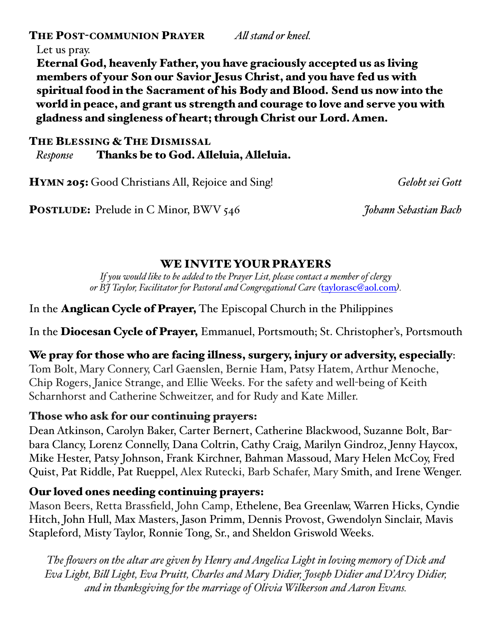#### THE POST-COMMUNION PRAYER *All stand or kneel.*

Let us pray.

Eternal God, heavenly Father, you have graciously accepted us as living members of your Son our Savior Jesus Christ, and you have fed us with spiritual food in the Sacrament of his Body and Blood. Send us now into the world in peace, and grant us strength and courage to love and serve you with gladness and singleness of heart; through Christ our Lord. Amen.

THE BLESSING & THE DISMISSAL *Response* Thanks be to God. Alleluia, Alleluia.

HYMN 205: Good Christians All, Rejoice and Sing! *Gelobt sei Gott*

POSTLUDE: Prelude in C Minor, BWV 546 *Johann Sebastian Bach*

#### WE INVITE YOUR PRAYERS

*If you would like to be added to the Prayer List, please contact a member of clergy or BJ Taylor, Facilitator for Pastoral and Congregational Care (*[taylorasc@aol.com](mailto:taylorasc@aol.com)*).*

In the Anglican Cycle of Prayer, The Episcopal Church in the Philippines

In the Diocesan Cycle of Prayer, Emmanuel, Portsmouth; St. Christopher's, Portsmouth

#### We pray for those who are facing illness, surgery, injury or adversity, especially:

Tom Bolt, Mary Connery, Carl Gaenslen, Bernie Ham, Patsy Hatem, Arthur Menoche, Chip Rogers, Janice Strange, and Ellie Weeks. For the safety and well-being of Keith Scharnhorst and Catherine Schweitzer, and for Rudy and Kate Miller.

#### Those who ask for our continuing prayers:

Dean Atkinson, Carolyn Baker, Carter Bernert, Catherine Blackwood, Suzanne Bolt, Barbara Clancy, Lorenz Connelly, Dana Coltrin, Cathy Craig, Marilyn Gindroz, Jenny Haycox, Mike Hester, Patsy Johnson, Frank Kirchner, Bahman Massoud, Mary Helen McCoy, Fred Quist, Pat Riddle, Pat Rueppel, Alex Rutecki, Barb Schafer, Mary Smith, and Irene Wenger.

#### Our loved ones needing continuing prayers:

Mason Beers, Retta Brassfield, John Camp, Ethelene, Bea Greenlaw, Warren Hicks, Cyndie Hitch, John Hull, Max Masters, Jason Primm, Dennis Provost, Gwendolyn Sinclair, Mavis Stapleford, Misty Taylor, Ronnie Tong, Sr., and Sheldon Griswold Weeks.

*The flowers on the altar are given by Henry and Angelica Light in loving memory of Dick and Eva Light, Bill Light, Eva Pruitt, Charles and Mary Didier, Joseph Didier and D'Arcy Didier, and in thanksgiving for the marriage of Olivia Wilkerson and Aaron Evans.*